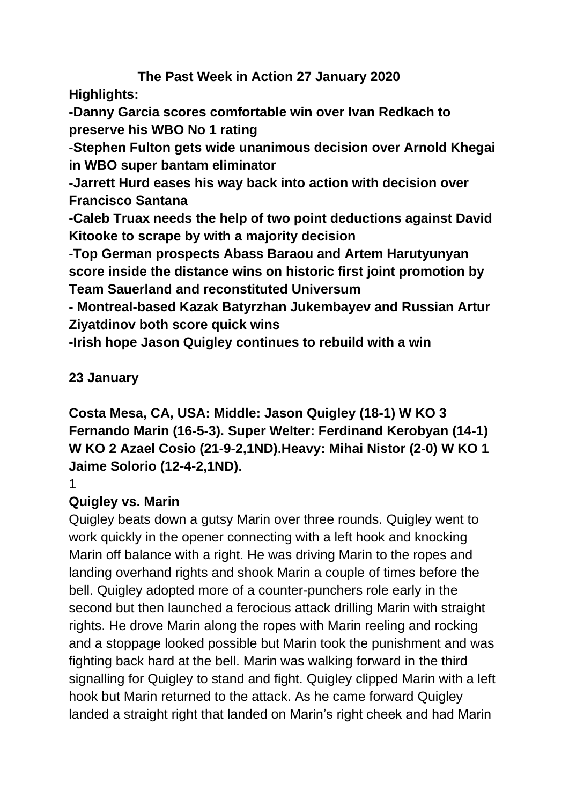## **The Past Week in Action 27 January 2020**

**Highlights:**

**-Danny Garcia scores comfortable win over Ivan Redkach to preserve his WBO No 1 rating**

**-Stephen Fulton gets wide unanimous decision over Arnold Khegai in WBO super bantam eliminator**

**-Jarrett Hurd eases his way back into action with decision over Francisco Santana**

**-Caleb Truax needs the help of two point deductions against David Kitooke to scrape by with a majority decision**

**-Top German prospects Abass Baraou and Artem Harutyunyan score inside the distance wins on historic first joint promotion by Team Sauerland and reconstituted Universum**

**- Montreal-based Kazak Batyrzhan Jukembayev and Russian Artur Ziyatdinov both score quick wins**

**-Irish hope Jason Quigley continues to rebuild with a win**

## **23 January**

**Costa Mesa, CA, USA: Middle: Jason Quigley (18-1) W KO 3 Fernando Marin (16-5-3). Super Welter: Ferdinand Kerobyan (14-1) W KO 2 Azael Cosio (21-9-2,1ND).Heavy: Mihai Nistor (2-0) W KO 1 Jaime Solorio (12-4-2,1ND).**

1

# **Quigley vs. Marin**

Quigley beats down a gutsy Marin over three rounds. Quigley went to work quickly in the opener connecting with a left hook and knocking Marin off balance with a right. He was driving Marin to the ropes and landing overhand rights and shook Marin a couple of times before the bell. Quigley adopted more of a counter-punchers role early in the second but then launched a ferocious attack drilling Marin with straight rights. He drove Marin along the ropes with Marin reeling and rocking and a stoppage looked possible but Marin took the punishment and was fighting back hard at the bell. Marin was walking forward in the third signalling for Quigley to stand and fight. Quigley clipped Marin with a left hook but Marin returned to the attack. As he came forward Quigley landed a straight right that landed on Marin's right cheek and had Marin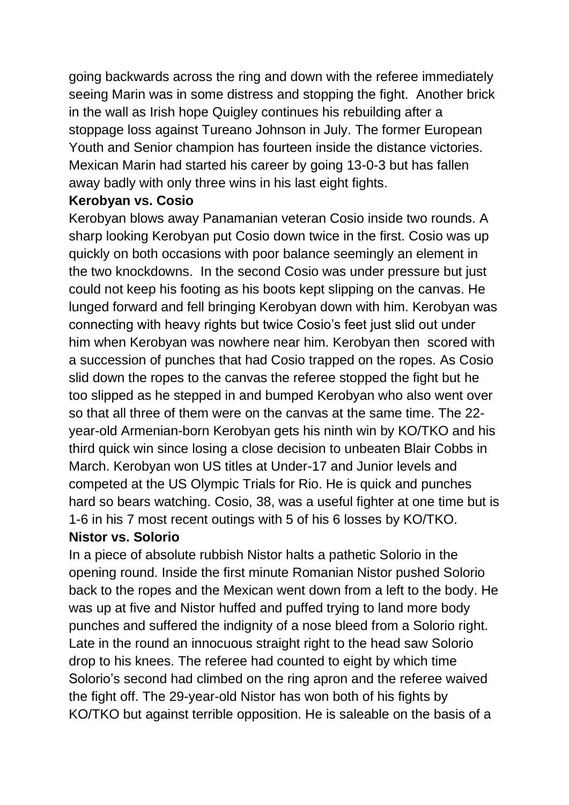going backwards across the ring and down with the referee immediately seeing Marin was in some distress and stopping the fight. Another brick in the wall as Irish hope Quigley continues his rebuilding after a stoppage loss against Tureano Johnson in July. The former European Youth and Senior champion has fourteen inside the distance victories. Mexican Marin had started his career by going 13-0-3 but has fallen away badly with only three wins in his last eight fights.

#### **Kerobyan vs. Cosio**

Kerobyan blows away Panamanian veteran Cosio inside two rounds. A sharp looking Kerobyan put Cosio down twice in the first. Cosio was up quickly on both occasions with poor balance seemingly an element in the two knockdowns. In the second Cosio was under pressure but just could not keep his footing as his boots kept slipping on the canvas. He lunged forward and fell bringing Kerobyan down with him. Kerobyan was connecting with heavy rights but twice Cosio's feet just slid out under him when Kerobyan was nowhere near him. Kerobyan then scored with a succession of punches that had Cosio trapped on the ropes. As Cosio slid down the ropes to the canvas the referee stopped the fight but he too slipped as he stepped in and bumped Kerobyan who also went over so that all three of them were on the canvas at the same time. The 22 year-old Armenian-born Kerobyan gets his ninth win by KO/TKO and his third quick win since losing a close decision to unbeaten Blair Cobbs in March. Kerobyan won US titles at Under-17 and Junior levels and competed at the US Olympic Trials for Rio. He is quick and punches hard so bears watching. Cosio, 38, was a useful fighter at one time but is 1-6 in his 7 most recent outings with 5 of his 6 losses by KO/TKO.

#### **Nistor vs. Solorio**

In a piece of absolute rubbish Nistor halts a pathetic Solorio in the opening round. Inside the first minute Romanian Nistor pushed Solorio back to the ropes and the Mexican went down from a left to the body. He was up at five and Nistor huffed and puffed trying to land more body punches and suffered the indignity of a nose bleed from a Solorio right. Late in the round an innocuous straight right to the head saw Solorio drop to his knees. The referee had counted to eight by which time Solorio's second had climbed on the ring apron and the referee waived the fight off. The 29-year-old Nistor has won both of his fights by KO/TKO but against terrible opposition. He is saleable on the basis of a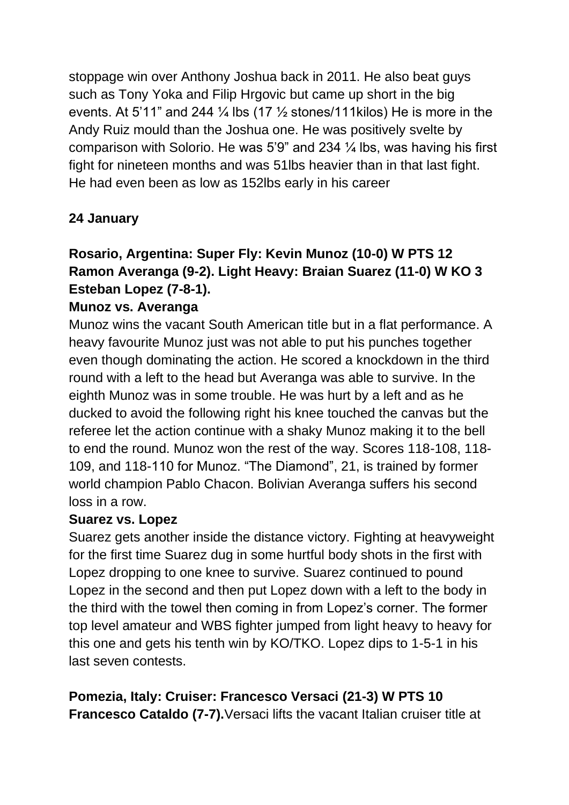stoppage win over Anthony Joshua back in 2011. He also beat guys such as Tony Yoka and Filip Hrgovic but came up short in the big events. At 5'11" and 244  $\frac{1}{4}$  lbs (17  $\frac{1}{2}$  stones/111kilos) He is more in the Andy Ruiz mould than the Joshua one. He was positively svelte by comparison with Solorio. He was 5'9" and 234 ¼ lbs, was having his first fight for nineteen months and was 51lbs heavier than in that last fight. He had even been as low as 152lbs early in his career

## **24 January**

## **Rosario, Argentina: Super Fly: Kevin Munoz (10-0) W PTS 12 Ramon Averanga (9-2). Light Heavy: Braian Suarez (11-0) W KO 3 Esteban Lopez (7-8-1).**

### **Munoz vs. Averanga**

Munoz wins the vacant South American title but in a flat performance. A heavy favourite Munoz just was not able to put his punches together even though dominating the action. He scored a knockdown in the third round with a left to the head but Averanga was able to survive. In the eighth Munoz was in some trouble. He was hurt by a left and as he ducked to avoid the following right his knee touched the canvas but the referee let the action continue with a shaky Munoz making it to the bell to end the round. Munoz won the rest of the way. Scores 118-108, 118- 109, and 118-110 for Munoz. "The Diamond", 21, is trained by former world champion Pablo Chacon. Bolivian Averanga suffers his second loss in a row.

#### **Suarez vs. Lopez**

Suarez gets another inside the distance victory. Fighting at heavyweight for the first time Suarez dug in some hurtful body shots in the first with Lopez dropping to one knee to survive. Suarez continued to pound Lopez in the second and then put Lopez down with a left to the body in the third with the towel then coming in from Lopez's corner. The former top level amateur and WBS fighter jumped from light heavy to heavy for this one and gets his tenth win by KO/TKO. Lopez dips to 1-5-1 in his last seven contests.

**Pomezia, Italy: Cruiser: Francesco Versaci (21-3) W PTS 10 Francesco Cataldo (7-7).**Versaci lifts the vacant Italian cruiser title at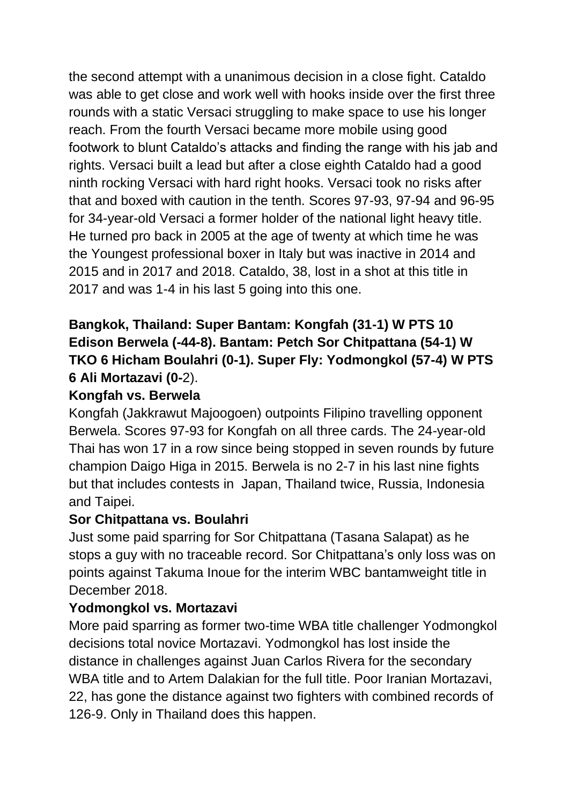the second attempt with a unanimous decision in a close fight. Cataldo was able to get close and work well with hooks inside over the first three rounds with a static Versaci struggling to make space to use his longer reach. From the fourth Versaci became more mobile using good footwork to blunt Cataldo's attacks and finding the range with his jab and rights. Versaci built a lead but after a close eighth Cataldo had a good ninth rocking Versaci with hard right hooks. Versaci took no risks after that and boxed with caution in the tenth. Scores 97-93, 97-94 and 96-95 for 34-year-old Versaci a former holder of the national light heavy title. He turned pro back in 2005 at the age of twenty at which time he was the Youngest professional boxer in Italy but was inactive in 2014 and 2015 and in 2017 and 2018. Cataldo, 38, lost in a shot at this title in 2017 and was 1-4 in his last 5 going into this one.

## **Bangkok, Thailand: Super Bantam: Kongfah (31-1) W PTS 10 Edison Berwela (-44-8). Bantam: Petch Sor Chitpattana (54-1) W TKO 6 Hicham Boulahri (0-1). Super Fly: Yodmongkol (57-4) W PTS 6 Ali Mortazavi (0-**2).

### **Kongfah vs. Berwela**

Kongfah (Jakkrawut Majoogoen) outpoints Filipino travelling opponent Berwela. Scores 97-93 for Kongfah on all three cards. The 24-year-old Thai has won 17 in a row since being stopped in seven rounds by future champion Daigo Higa in 2015. Berwela is no 2-7 in his last nine fights but that includes contests in Japan, Thailand twice, Russia, Indonesia and Taipei.

#### **Sor Chitpattana vs. Boulahri**

Just some paid sparring for Sor Chitpattana (Tasana Salapat) as he stops a guy with no traceable record. Sor Chitpattana's only loss was on points against Takuma Inoue for the interim WBC bantamweight title in December 2018.

#### **Yodmongkol vs. Mortazavi**

More paid sparring as former two-time WBA title challenger Yodmongkol decisions total novice Mortazavi. Yodmongkol has lost inside the distance in challenges against Juan Carlos Rivera for the secondary WBA title and to Artem Dalakian for the full title. Poor Iranian Mortazavi, 22, has gone the distance against two fighters with combined records of 126-9. Only in Thailand does this happen.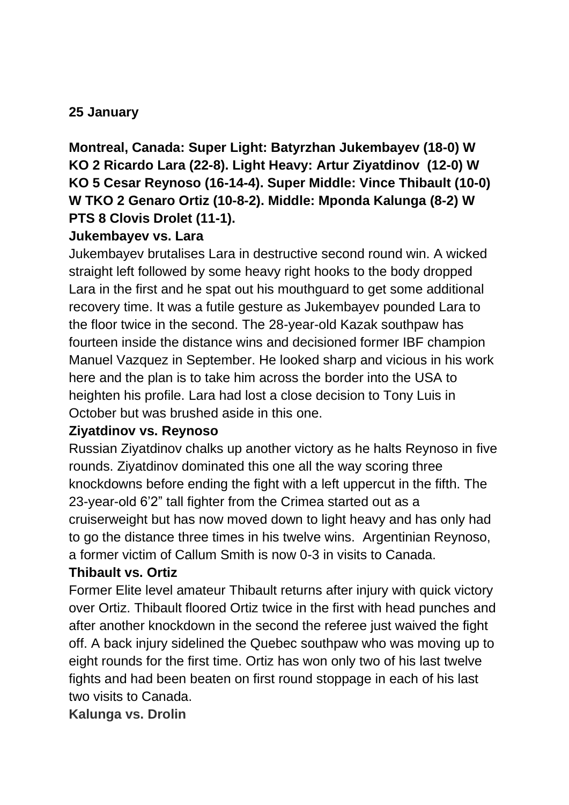### **25 January**

**Montreal, Canada: Super Light: Batyrzhan Jukembayev (18-0) W KO 2 Ricardo Lara (22-8). Light Heavy: Artur Ziyatdinov (12-0) W KO 5 Cesar Reynoso (16-14-4). Super Middle: Vince Thibault (10-0) W TKO 2 Genaro Ortiz (10-8-2). Middle: Mponda Kalunga (8-2) W PTS 8 Clovis Drolet (11-1).**

#### **Jukembayev vs. Lara**

Jukembayev brutalises Lara in destructive second round win. A wicked straight left followed by some heavy right hooks to the body dropped Lara in the first and he spat out his mouthguard to get some additional recovery time. It was a futile gesture as Jukembayev pounded Lara to the floor twice in the second. The 28-year-old Kazak southpaw has fourteen inside the distance wins and decisioned former IBF champion Manuel Vazquez in September. He looked sharp and vicious in his work here and the plan is to take him across the border into the USA to heighten his profile. Lara had lost a close decision to Tony Luis in October but was brushed aside in this one.

#### **Ziyatdinov vs. Reynoso**

Russian Ziyatdinov chalks up another victory as he halts Reynoso in five rounds. Ziyatdinov dominated this one all the way scoring three knockdowns before ending the fight with a left uppercut in the fifth. The 23-year-old 6'2" tall fighter from the Crimea started out as a cruiserweight but has now moved down to light heavy and has only had to go the distance three times in his twelve wins. Argentinian Reynoso, a former victim of Callum Smith is now 0-3 in visits to Canada.

## **Thibault vs. Ortiz**

Former Elite level amateur Thibault returns after injury with quick victory over Ortiz. Thibault floored Ortiz twice in the first with head punches and after another knockdown in the second the referee just waived the fight off. A back injury sidelined the Quebec southpaw who was moving up to eight rounds for the first time. Ortiz has won only two of his last twelve fights and had been beaten on first round stoppage in each of his last two visits to Canada.

**Kalunga vs. Drolin**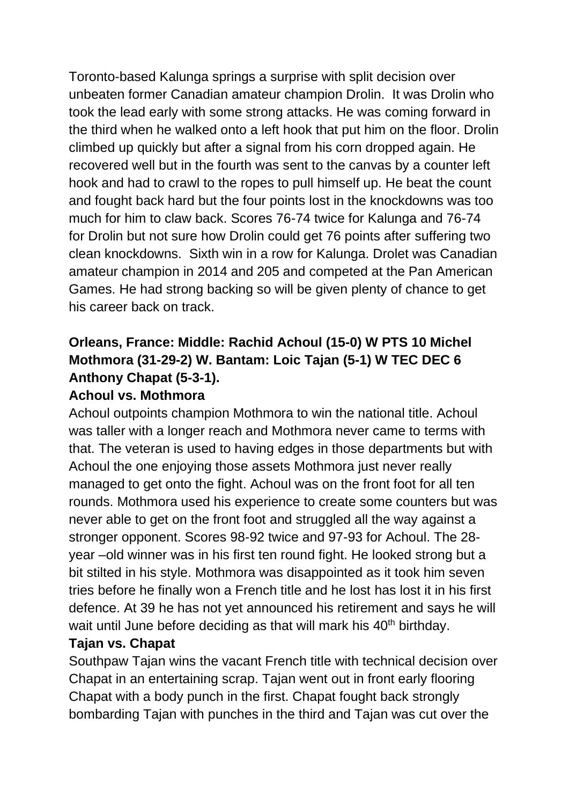Toronto-based Kalunga springs a surprise with split decision over unbeaten former Canadian amateur champion Drolin. It was Drolin who took the lead early with some strong attacks. He was coming forward in the third when he walked onto a left hook that put him on the floor. Drolin climbed up quickly but after a signal from his corn dropped again. He recovered well but in the fourth was sent to the canvas by a counter left hook and had to crawl to the ropes to pull himself up. He beat the count and fought back hard but the four points lost in the knockdowns was too much for him to claw back. Scores 76-74 twice for Kalunga and 76-74 for Drolin but not sure how Drolin could get 76 points after suffering two clean knockdowns. Sixth win in a row for Kalunga. Drolet was Canadian amateur champion in 2014 and 205 and competed at the Pan American Games. He had strong backing so will be given plenty of chance to get his career back on track.

## **Orleans, France: Middle: Rachid Achoul (15-0) W PTS 10 Michel Mothmora (31-29-2) W. Bantam: Loic Tajan (5-1) W TEC DEC 6 Anthony Chapat (5-3-1).**

### **Achoul vs. Mothmora**

Achoul outpoints champion Mothmora to win the national title. Achoul was taller with a longer reach and Mothmora never came to terms with that. The veteran is used to having edges in those departments but with Achoul the one enjoying those assets Mothmora just never really managed to get onto the fight. Achoul was on the front foot for all ten rounds. Mothmora used his experience to create some counters but was never able to get on the front foot and struggled all the way against a stronger opponent. Scores 98-92 twice and 97-93 for Achoul. The 28 year –old winner was in his first ten round fight. He looked strong but a bit stilted in his style. Mothmora was disappointed as it took him seven tries before he finally won a French title and he lost has lost it in his first defence. At 39 he has not yet announced his retirement and says he will wait until June before deciding as that will mark his 40<sup>th</sup> birthday.

#### **Tajan vs. Chapat**

Southpaw Tajan wins the vacant French title with technical decision over Chapat in an entertaining scrap. Tajan went out in front early flooring Chapat with a body punch in the first. Chapat fought back strongly bombarding Tajan with punches in the third and Tajan was cut over the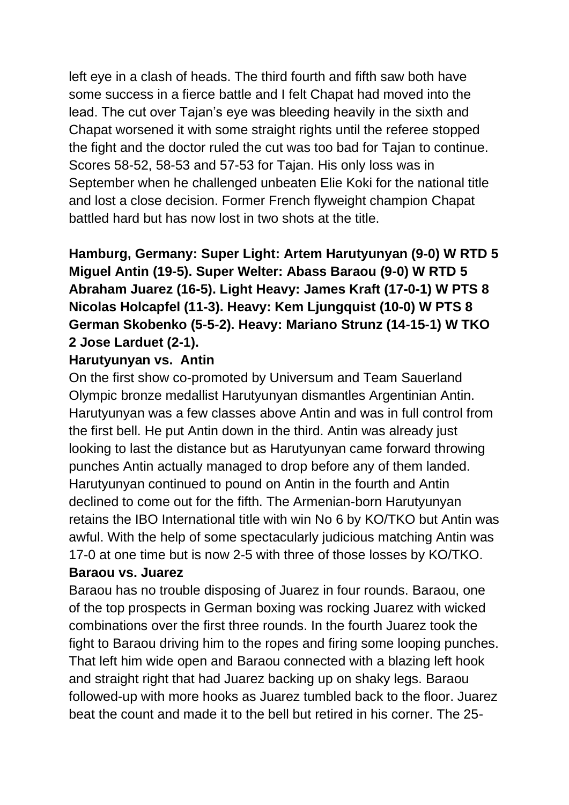left eye in a clash of heads. The third fourth and fifth saw both have some success in a fierce battle and I felt Chapat had moved into the lead. The cut over Tajan's eye was bleeding heavily in the sixth and Chapat worsened it with some straight rights until the referee stopped the fight and the doctor ruled the cut was too bad for Tajan to continue. Scores 58-52, 58-53 and 57-53 for Tajan. His only loss was in September when he challenged unbeaten Elie Koki for the national title and lost a close decision. Former French flyweight champion Chapat battled hard but has now lost in two shots at the title.

## **Hamburg, Germany: Super Light: Artem Harutyunyan (9-0) W RTD 5 Miguel Antin (19-5). Super Welter: Abass Baraou (9-0) W RTD 5 Abraham Juarez (16-5). Light Heavy: James Kraft (17-0-1) W PTS 8 Nicolas Holcapfel (11-3). Heavy: Kem Ljungquist (10-0) W PTS 8 German Skobenko (5-5-2). Heavy: Mariano Strunz (14-15-1) W TKO 2 Jose Larduet (2-1).**

### **Harutyunyan vs. Antin**

On the first show co-promoted by Universum and Team Sauerland Olympic bronze medallist Harutyunyan dismantles Argentinian Antin. Harutyunyan was a few classes above Antin and was in full control from the first bell. He put Antin down in the third. Antin was already just looking to last the distance but as Harutyunyan came forward throwing punches Antin actually managed to drop before any of them landed. Harutyunyan continued to pound on Antin in the fourth and Antin declined to come out for the fifth. The Armenian-born Harutyunyan retains the IBO International title with win No 6 by KO/TKO but Antin was awful. With the help of some spectacularly judicious matching Antin was 17-0 at one time but is now 2-5 with three of those losses by KO/TKO. **Baraou vs. Juarez**

Baraou has no trouble disposing of Juarez in four rounds. Baraou, one of the top prospects in German boxing was rocking Juarez with wicked combinations over the first three rounds. In the fourth Juarez took the fight to Baraou driving him to the ropes and firing some looping punches. That left him wide open and Baraou connected with a blazing left hook and straight right that had Juarez backing up on shaky legs. Baraou followed-up with more hooks as Juarez tumbled back to the floor. Juarez beat the count and made it to the bell but retired in his corner. The 25-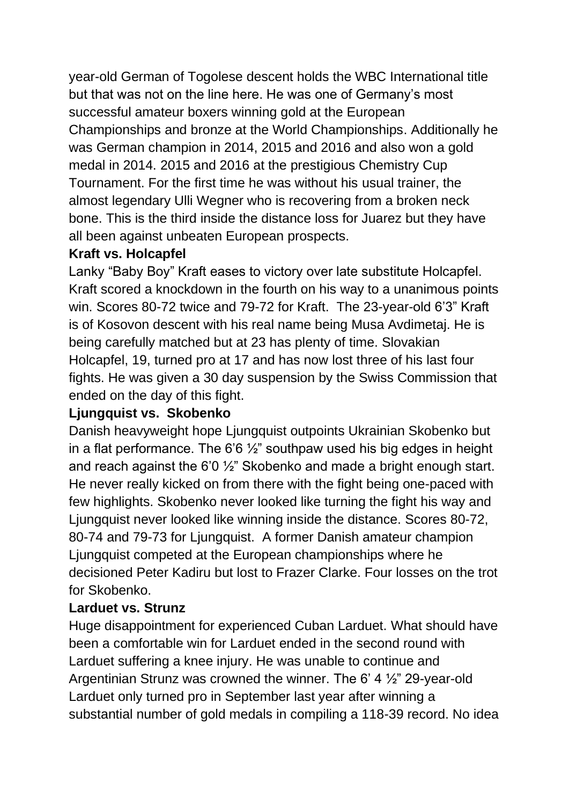year-old German of Togolese descent holds the WBC International title but that was not on the line here. He was one of Germany's most successful amateur boxers winning gold at the European Championships and bronze at the World Championships. Additionally he was German champion in 2014, 2015 and 2016 and also won a gold medal in 2014. 2015 and 2016 at the prestigious Chemistry Cup Tournament. For the first time he was without his usual trainer, the almost legendary Ulli Wegner who is recovering from a broken neck bone. This is the third inside the distance loss for Juarez but they have all been against unbeaten European prospects.

### **Kraft vs. Holcapfel**

Lanky "Baby Boy" Kraft eases to victory over late substitute Holcapfel. Kraft scored a knockdown in the fourth on his way to a unanimous points win. Scores 80-72 twice and 79-72 for Kraft. The 23-year-old 6'3" Kraft is of Kosovon descent with his real name being Musa Avdimetaj. He is being carefully matched but at 23 has plenty of time. Slovakian Holcapfel, 19, turned pro at 17 and has now lost three of his last four fights. He was given a 30 day suspension by the Swiss Commission that ended on the day of this fight.

## **Ljungquist vs. Skobenko**

Danish heavyweight hope Ljungquist outpoints Ukrainian Skobenko but in a flat performance. The 6'6  $\frac{1}{2}$ " southpaw used his big edges in height and reach against the 6'0 ½" Skobenko and made a bright enough start. He never really kicked on from there with the fight being one-paced with few highlights. Skobenko never looked like turning the fight his way and Ljungquist never looked like winning inside the distance. Scores 80-72, 80-74 and 79-73 for Ljungquist. A former Danish amateur champion Ljungquist competed at the European championships where he decisioned Peter Kadiru but lost to Frazer Clarke. Four losses on the trot for Skobenko.

## **Larduet vs. Strunz**

Huge disappointment for experienced Cuban Larduet. What should have been a comfortable win for Larduet ended in the second round with Larduet suffering a knee injury. He was unable to continue and Argentinian Strunz was crowned the winner. The 6' 4 ½" 29-year-old Larduet only turned pro in September last year after winning a substantial number of gold medals in compiling a 118-39 record. No idea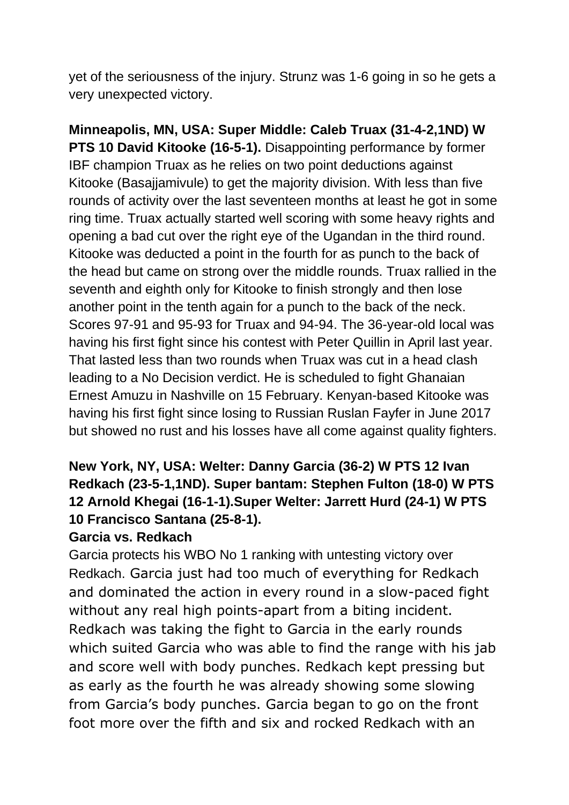yet of the seriousness of the injury. Strunz was 1-6 going in so he gets a very unexpected victory.

**Minneapolis, MN, USA: Super Middle: Caleb Truax (31-4-2,1ND) W PTS 10 David Kitooke (16-5-1).** Disappointing performance by former IBF champion Truax as he relies on two point deductions against Kitooke (Basajjamivule) to get the majority division. With less than five rounds of activity over the last seventeen months at least he got in some ring time. Truax actually started well scoring with some heavy rights and opening a bad cut over the right eye of the Ugandan in the third round. Kitooke was deducted a point in the fourth for as punch to the back of the head but came on strong over the middle rounds. Truax rallied in the seventh and eighth only for Kitooke to finish strongly and then lose another point in the tenth again for a punch to the back of the neck. Scores 97-91 and 95-93 for Truax and 94-94. The 36-year-old local was having his first fight since his contest with Peter Quillin in April last year. That lasted less than two rounds when Truax was cut in a head clash leading to a No Decision verdict. He is scheduled to fight Ghanaian Ernest Amuzu in Nashville on 15 February. Kenyan-based Kitooke was having his first fight since losing to Russian Ruslan Fayfer in June 2017 but showed no rust and his losses have all come against quality fighters.

## **New York, NY, USA: Welter: Danny Garcia (36-2) W PTS 12 Ivan Redkach (23-5-1,1ND). Super bantam: Stephen Fulton (18-0) W PTS 12 Arnold Khegai (16-1-1).Super Welter: Jarrett Hurd (24-1) W PTS 10 Francisco Santana (25-8-1).**

#### **Garcia vs. Redkach**

Garcia protects his WBO No 1 ranking with untesting victory over Redkach. Garcia just had too much of everything for Redkach and dominated the action in every round in a slow-paced fight without any real high points-apart from a biting incident. Redkach was taking the fight to Garcia in the early rounds which suited Garcia who was able to find the range with his jab and score well with body punches. Redkach kept pressing but as early as the fourth he was already showing some slowing from Garcia's body punches. Garcia began to go on the front foot more over the fifth and six and rocked Redkach with an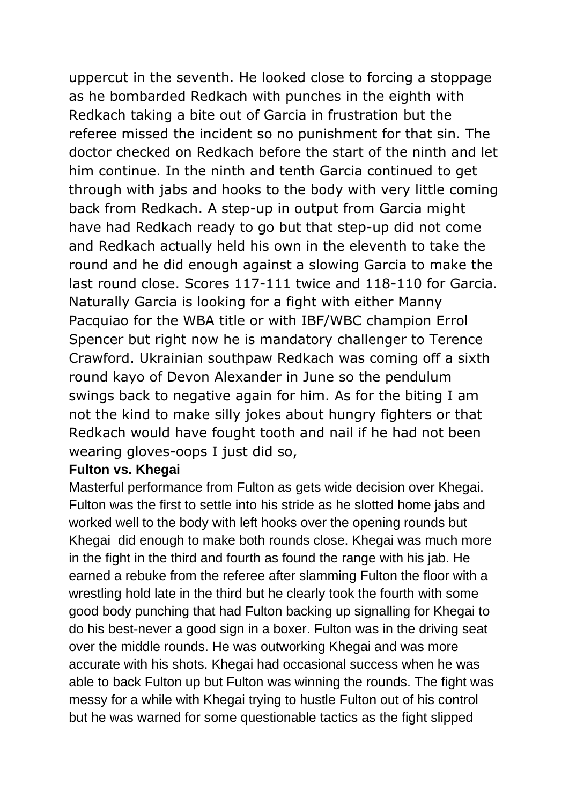uppercut in the seventh. He looked close to forcing a stoppage as he bombarded Redkach with punches in the eighth with Redkach taking a bite out of Garcia in frustration but the referee missed the incident so no punishment for that sin. The doctor checked on Redkach before the start of the ninth and let him continue. In the ninth and tenth Garcia continued to get through with jabs and hooks to the body with very little coming back from Redkach. A step-up in output from Garcia might have had Redkach ready to go but that step-up did not come and Redkach actually held his own in the eleventh to take the round and he did enough against a slowing Garcia to make the last round close. Scores 117-111 twice and 118-110 for Garcia. Naturally Garcia is looking for a fight with either Manny Pacquiao for the WBA title or with IBF/WBC champion Errol Spencer but right now he is mandatory challenger to Terence Crawford. Ukrainian southpaw Redkach was coming off a sixth round kayo of Devon Alexander in June so the pendulum swings back to negative again for him. As for the biting I am not the kind to make silly jokes about hungry fighters or that Redkach would have fought tooth and nail if he had not been wearing gloves-oops I just did so,

#### **Fulton vs. Khegai**

Masterful performance from Fulton as gets wide decision over Khegai. Fulton was the first to settle into his stride as he slotted home jabs and worked well to the body with left hooks over the opening rounds but Khegai did enough to make both rounds close. Khegai was much more in the fight in the third and fourth as found the range with his jab. He earned a rebuke from the referee after slamming Fulton the floor with a wrestling hold late in the third but he clearly took the fourth with some good body punching that had Fulton backing up signalling for Khegai to do his best-never a good sign in a boxer. Fulton was in the driving seat over the middle rounds. He was outworking Khegai and was more accurate with his shots. Khegai had occasional success when he was able to back Fulton up but Fulton was winning the rounds. The fight was messy for a while with Khegai trying to hustle Fulton out of his control but he was warned for some questionable tactics as the fight slipped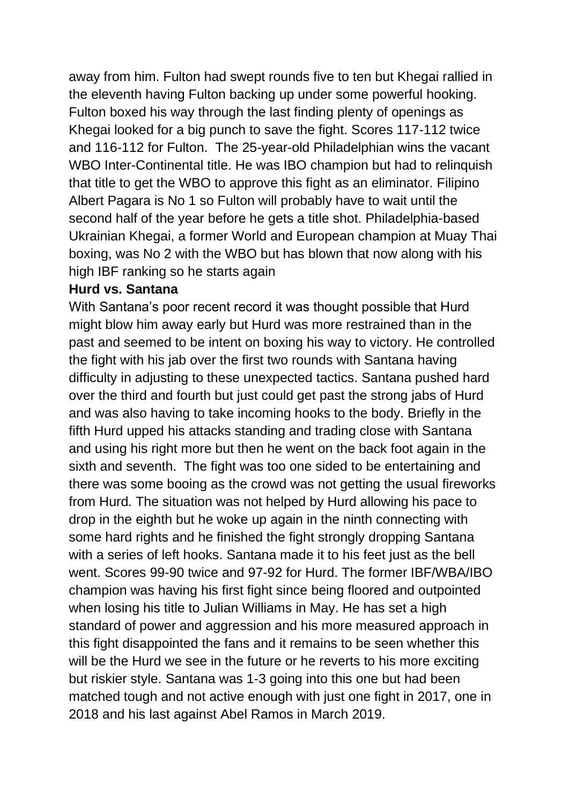away from him. Fulton had swept rounds five to ten but Khegai rallied in the eleventh having Fulton backing up under some powerful hooking. Fulton boxed his way through the last finding plenty of openings as Khegai looked for a big punch to save the fight. Scores 117-112 twice and 116-112 for Fulton. The 25-year-old Philadelphian wins the vacant WBO Inter-Continental title. He was IBO champion but had to relinquish that title to get the WBO to approve this fight as an eliminator. Filipino Albert Pagara is No 1 so Fulton will probably have to wait until the second half of the year before he gets a title shot. Philadelphia-based Ukrainian Khegai, a former World and European champion at Muay Thai boxing, was No 2 with the WBO but has blown that now along with his high IBF ranking so he starts again

#### **Hurd vs. Santana**

With Santana's poor recent record it was thought possible that Hurd might blow him away early but Hurd was more restrained than in the past and seemed to be intent on boxing his way to victory. He controlled the fight with his jab over the first two rounds with Santana having difficulty in adjusting to these unexpected tactics. Santana pushed hard over the third and fourth but just could get past the strong jabs of Hurd and was also having to take incoming hooks to the body. Briefly in the fifth Hurd upped his attacks standing and trading close with Santana and using his right more but then he went on the back foot again in the sixth and seventh. The fight was too one sided to be entertaining and there was some booing as the crowd was not getting the usual fireworks from Hurd. The situation was not helped by Hurd allowing his pace to drop in the eighth but he woke up again in the ninth connecting with some hard rights and he finished the fight strongly dropping Santana with a series of left hooks. Santana made it to his feet just as the bell went. Scores 99-90 twice and 97-92 for Hurd. The former IBF/WBA/IBO champion was having his first fight since being floored and outpointed when losing his title to Julian Williams in May. He has set a high standard of power and aggression and his more measured approach in this fight disappointed the fans and it remains to be seen whether this will be the Hurd we see in the future or he reverts to his more exciting but riskier style. Santana was 1-3 going into this one but had been matched tough and not active enough with just one fight in 2017, one in 2018 and his last against Abel Ramos in March 2019.